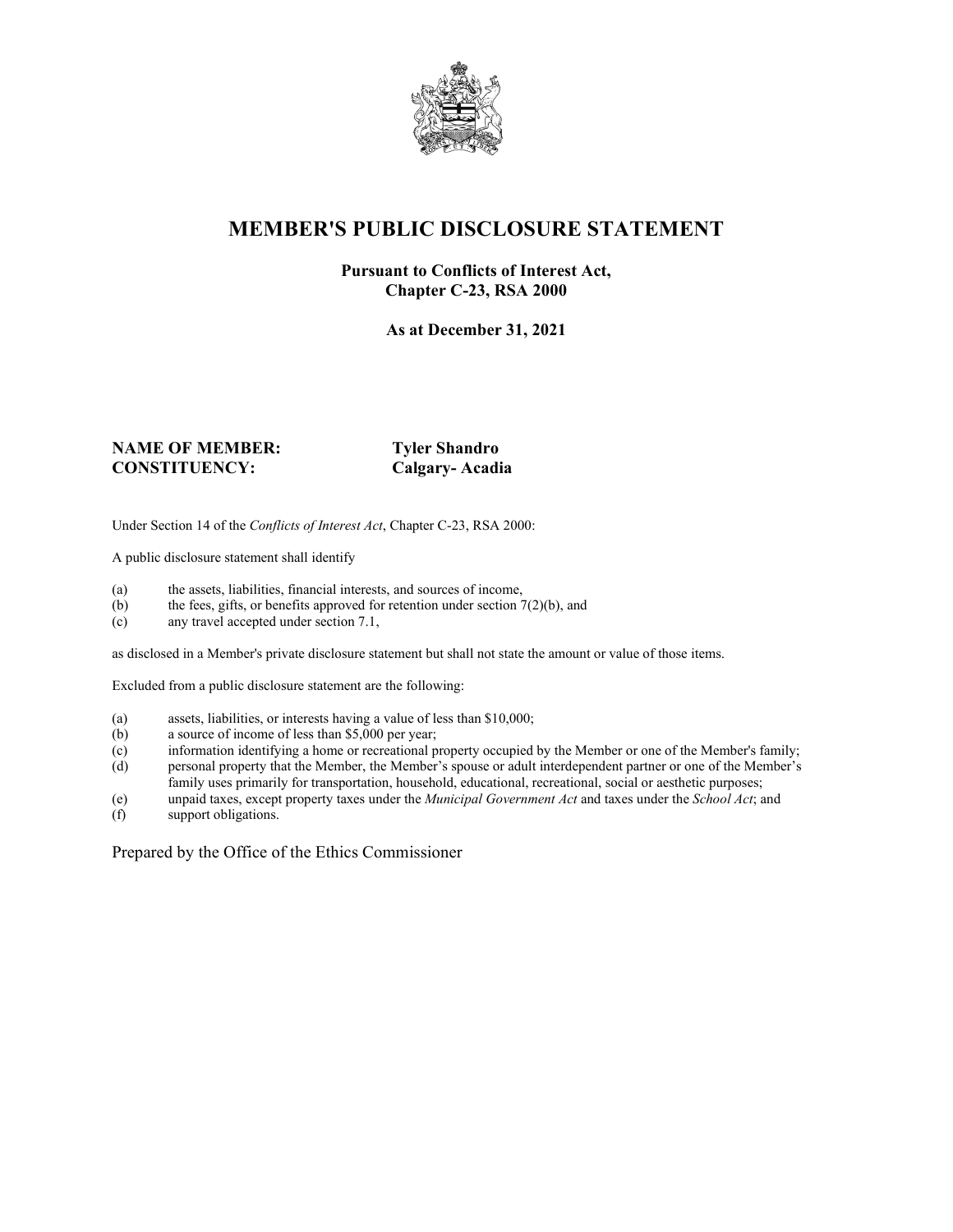

### **MEMBER'S PUBLIC DISCLOSURE STATEMENT**

#### **Pursuant to Conflicts of Interest Act, Chapter C-23, RSA 2000**

**As at December 31, 2021**

#### **NAME OF MEMBER: Tyler Shandro CONSTITUENCY: Calgary- Acadia**

Under Section 14 of the *Conflicts of Interest Act*, Chapter C-23, RSA 2000:

A public disclosure statement shall identify

- (a) the assets, liabilities, financial interests, and sources of income,  $(b)$  the fees, gifts, or benefits approved for retention under section 7
- the fees, gifts, or benefits approved for retention under section  $7(2)(b)$ , and
- (c) any travel accepted under section 7.1,

as disclosed in a Member's private disclosure statement but shall not state the amount or value of those items.

Excluded from a public disclosure statement are the following:

- (a) assets, liabilities, or interests having a value of less than \$10,000;<br>(b) a source of income of less than \$5,000 per year;
- a source of income of less than  $$5,000$  per year;
- (c) information identifying a home or recreational property occupied by the Member or one of the Member's family;
- (d) personal property that the Member, the Member's spouse or adult interdependent partner or one of the Member's family uses primarily for transportation, household, educational, recreational, social or aesthetic purposes;
- (e) unpaid taxes, except property taxes under the *Municipal Government Act* and taxes under the *School Act*; and
- (f) support obligations.

Prepared by the Office of the Ethics Commissioner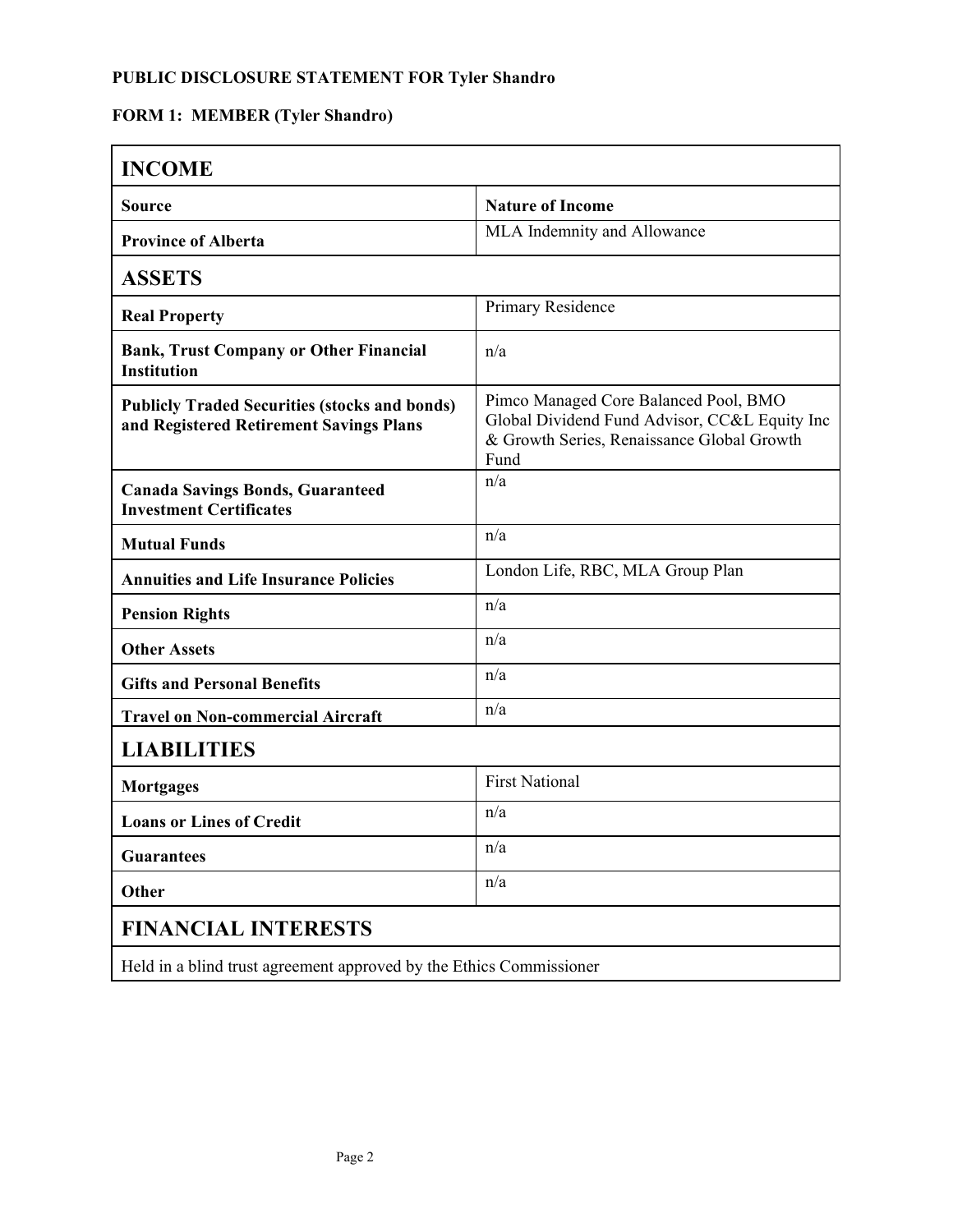## **FORM 1: MEMBER (Tyler Shandro)**

| <b>INCOME</b>                                                                                   |                                                                                                                                              |  |
|-------------------------------------------------------------------------------------------------|----------------------------------------------------------------------------------------------------------------------------------------------|--|
| <b>Source</b>                                                                                   | <b>Nature of Income</b>                                                                                                                      |  |
| <b>Province of Alberta</b>                                                                      | MLA Indemnity and Allowance                                                                                                                  |  |
| <b>ASSETS</b>                                                                                   |                                                                                                                                              |  |
| <b>Real Property</b>                                                                            | Primary Residence                                                                                                                            |  |
| <b>Bank, Trust Company or Other Financial</b><br><b>Institution</b>                             | n/a                                                                                                                                          |  |
| <b>Publicly Traded Securities (stocks and bonds)</b><br>and Registered Retirement Savings Plans | Pimco Managed Core Balanced Pool, BMO<br>Global Dividend Fund Advisor, CC&L Equity Inc<br>& Growth Series, Renaissance Global Growth<br>Fund |  |
| <b>Canada Savings Bonds, Guaranteed</b><br><b>Investment Certificates</b>                       | n/a                                                                                                                                          |  |
| <b>Mutual Funds</b>                                                                             | n/a                                                                                                                                          |  |
| <b>Annuities and Life Insurance Policies</b>                                                    | London Life, RBC, MLA Group Plan                                                                                                             |  |
| <b>Pension Rights</b>                                                                           | n/a                                                                                                                                          |  |
| <b>Other Assets</b>                                                                             | n/a                                                                                                                                          |  |
| <b>Gifts and Personal Benefits</b>                                                              | n/a                                                                                                                                          |  |
| <b>Travel on Non-commercial Aircraft</b>                                                        | n/a                                                                                                                                          |  |
| <b>LIABILITIES</b>                                                                              |                                                                                                                                              |  |
| <b>Mortgages</b>                                                                                | <b>First National</b>                                                                                                                        |  |
| <b>Loans or Lines of Credit</b>                                                                 | n/a                                                                                                                                          |  |
| <b>Guarantees</b>                                                                               | n/a                                                                                                                                          |  |
| Other                                                                                           | n/a                                                                                                                                          |  |
| <b>FINANCIAL INTERESTS</b>                                                                      |                                                                                                                                              |  |
| Held in a blind trust agreement approved by the Ethics Commissioner                             |                                                                                                                                              |  |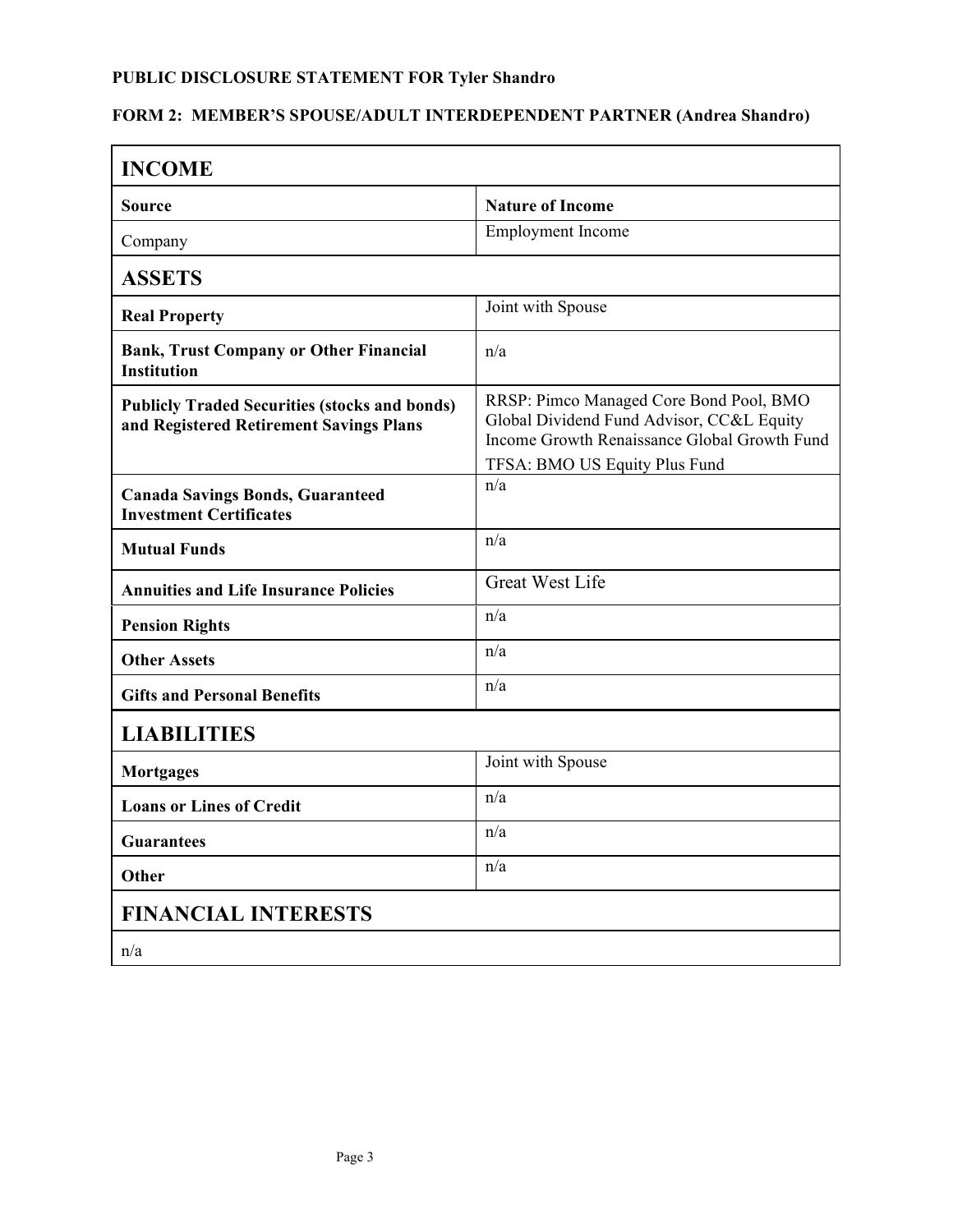## **FORM 2: MEMBER'S SPOUSE/ADULT INTERDEPENDENT PARTNER (Andrea Shandro)**

| <b>INCOME</b>                                                                                   |                                                                                                                                                                       |  |
|-------------------------------------------------------------------------------------------------|-----------------------------------------------------------------------------------------------------------------------------------------------------------------------|--|
| Source                                                                                          | <b>Nature of Income</b>                                                                                                                                               |  |
| Company                                                                                         | <b>Employment</b> Income                                                                                                                                              |  |
| <b>ASSETS</b>                                                                                   |                                                                                                                                                                       |  |
| <b>Real Property</b>                                                                            | Joint with Spouse                                                                                                                                                     |  |
| <b>Bank, Trust Company or Other Financial</b><br><b>Institution</b>                             | n/a                                                                                                                                                                   |  |
| <b>Publicly Traded Securities (stocks and bonds)</b><br>and Registered Retirement Savings Plans | RRSP: Pimco Managed Core Bond Pool, BMO<br>Global Dividend Fund Advisor, CC&L Equity<br>Income Growth Renaissance Global Growth Fund<br>TFSA: BMO US Equity Plus Fund |  |
| <b>Canada Savings Bonds, Guaranteed</b><br><b>Investment Certificates</b>                       | n/a                                                                                                                                                                   |  |
| <b>Mutual Funds</b>                                                                             | n/a                                                                                                                                                                   |  |
| <b>Annuities and Life Insurance Policies</b>                                                    | <b>Great West Life</b>                                                                                                                                                |  |
| <b>Pension Rights</b>                                                                           | n/a                                                                                                                                                                   |  |
| <b>Other Assets</b>                                                                             | n/a                                                                                                                                                                   |  |
| <b>Gifts and Personal Benefits</b>                                                              | n/a                                                                                                                                                                   |  |
| <b>LIABILITIES</b>                                                                              |                                                                                                                                                                       |  |
| <b>Mortgages</b>                                                                                | Joint with Spouse                                                                                                                                                     |  |
| <b>Loans or Lines of Credit</b>                                                                 | n/a                                                                                                                                                                   |  |
| <b>Guarantees</b>                                                                               | n/a                                                                                                                                                                   |  |
| Other                                                                                           | n/a                                                                                                                                                                   |  |
| <b>FINANCIAL INTERESTS</b>                                                                      |                                                                                                                                                                       |  |
| n/a                                                                                             |                                                                                                                                                                       |  |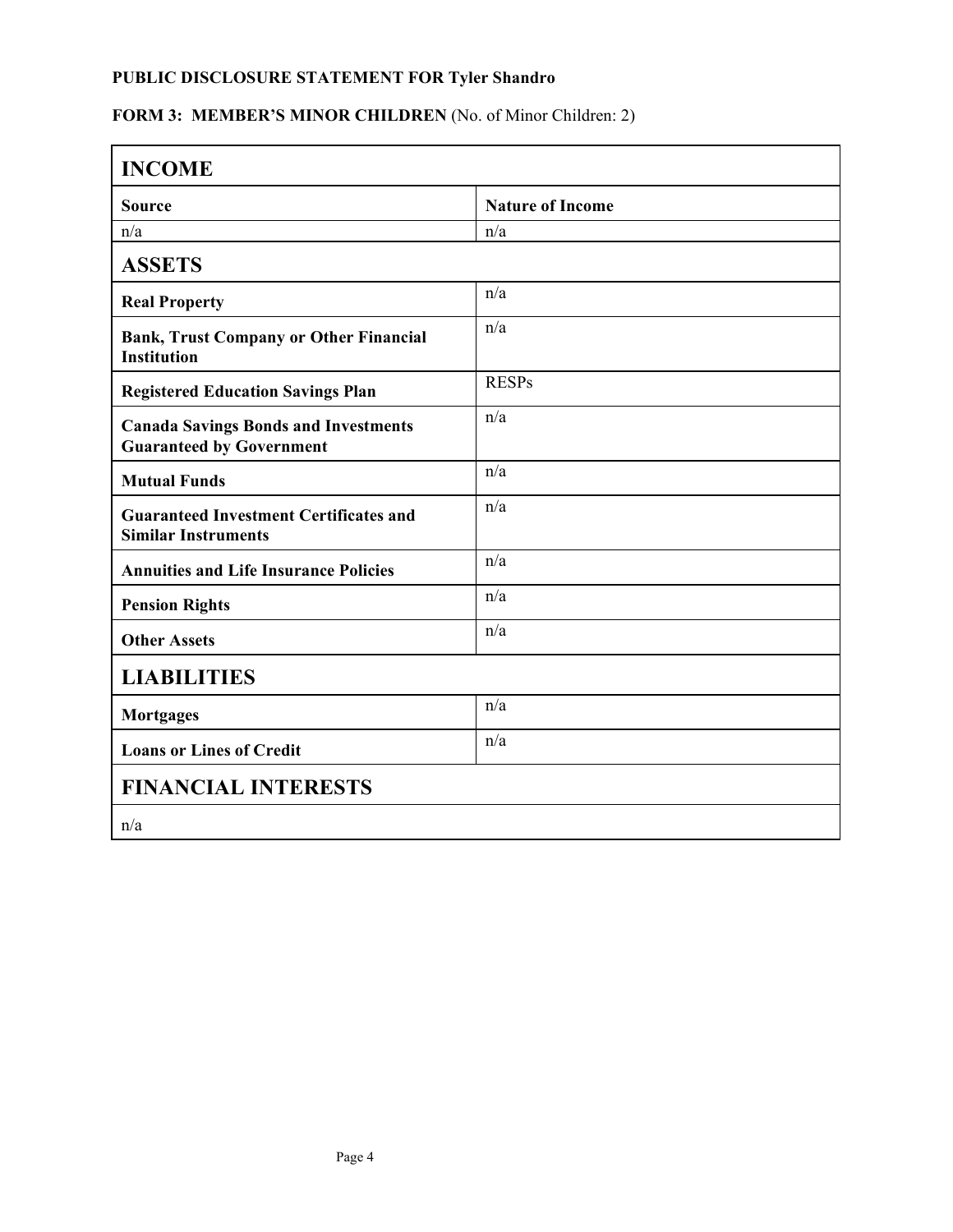## FORM 3: MEMBER'S MINOR CHILDREN (No. of Minor Children: 2)

| <b>INCOME</b>                                                                  |                         |  |
|--------------------------------------------------------------------------------|-------------------------|--|
| <b>Source</b>                                                                  | <b>Nature of Income</b> |  |
| n/a                                                                            | n/a                     |  |
| <b>ASSETS</b>                                                                  |                         |  |
| <b>Real Property</b>                                                           | n/a                     |  |
| <b>Bank, Trust Company or Other Financial</b><br><b>Institution</b>            | n/a                     |  |
| <b>Registered Education Savings Plan</b>                                       | <b>RESPs</b>            |  |
| <b>Canada Savings Bonds and Investments</b><br><b>Guaranteed by Government</b> | n/a                     |  |
| <b>Mutual Funds</b>                                                            | n/a                     |  |
| <b>Guaranteed Investment Certificates and</b><br><b>Similar Instruments</b>    | n/a                     |  |
| <b>Annuities and Life Insurance Policies</b>                                   | n/a                     |  |
| <b>Pension Rights</b>                                                          | n/a                     |  |
| <b>Other Assets</b>                                                            | n/a                     |  |
| <b>LIABILITIES</b>                                                             |                         |  |
| <b>Mortgages</b>                                                               | n/a                     |  |
| <b>Loans or Lines of Credit</b>                                                | n/a                     |  |
| <b>FINANCIAL INTERESTS</b>                                                     |                         |  |
| n/a                                                                            |                         |  |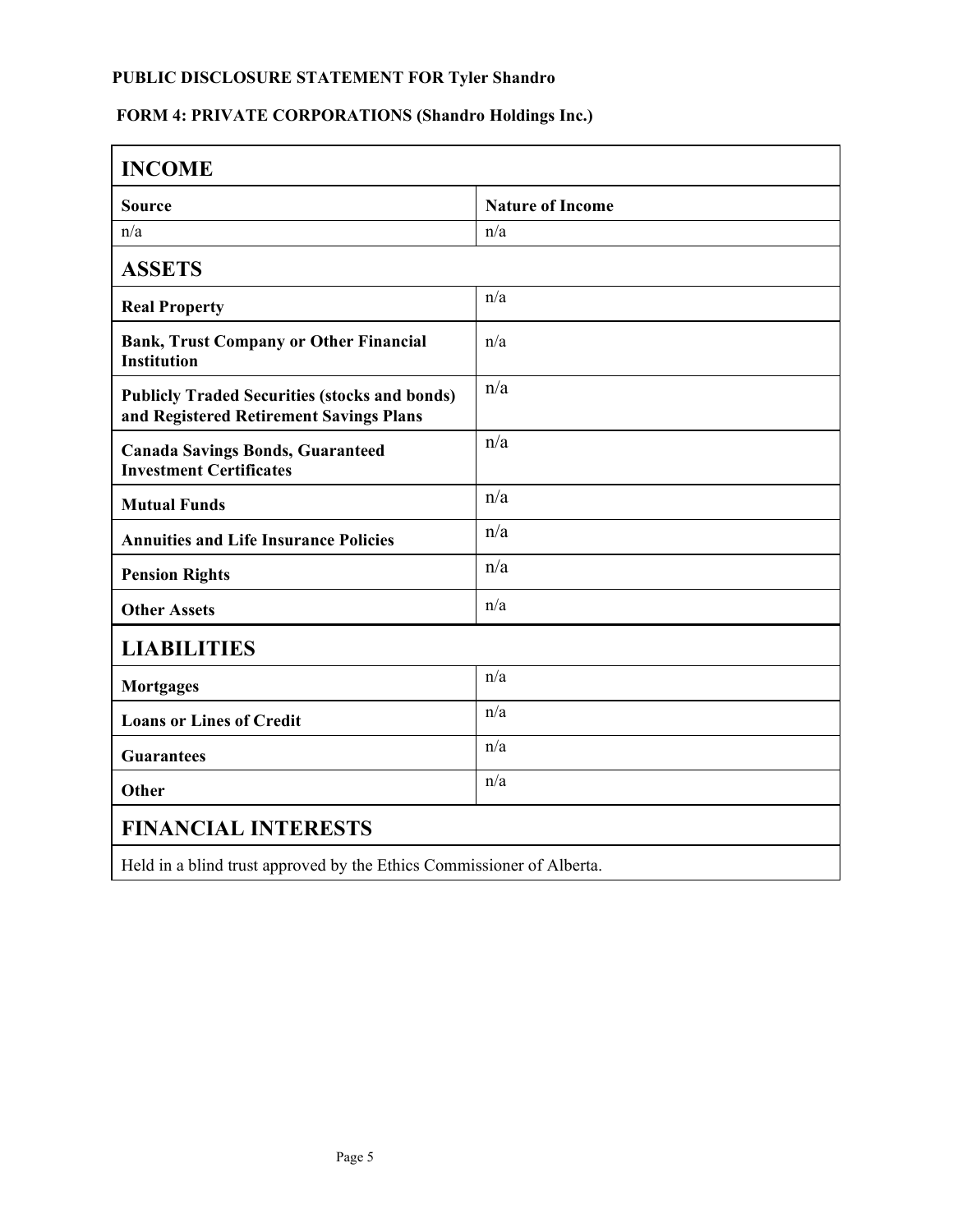# **FORM 4: PRIVATE CORPORATIONS (Shandro Holdings Inc.)**

| <b>INCOME</b>                                                                                   |                         |  |
|-------------------------------------------------------------------------------------------------|-------------------------|--|
| <b>Source</b>                                                                                   | <b>Nature of Income</b> |  |
| n/a                                                                                             | n/a                     |  |
| <b>ASSETS</b>                                                                                   |                         |  |
| <b>Real Property</b>                                                                            | n/a                     |  |
| <b>Bank, Trust Company or Other Financial</b><br><b>Institution</b>                             | n/a                     |  |
| <b>Publicly Traded Securities (stocks and bonds)</b><br>and Registered Retirement Savings Plans | n/a                     |  |
| <b>Canada Savings Bonds, Guaranteed</b><br><b>Investment Certificates</b>                       | n/a                     |  |
| <b>Mutual Funds</b>                                                                             | n/a                     |  |
| <b>Annuities and Life Insurance Policies</b>                                                    | n/a                     |  |
| <b>Pension Rights</b>                                                                           | n/a                     |  |
| <b>Other Assets</b>                                                                             | n/a                     |  |
| <b>LIABILITIES</b>                                                                              |                         |  |
| <b>Mortgages</b>                                                                                | n/a                     |  |
| <b>Loans or Lines of Credit</b>                                                                 | n/a                     |  |
| <b>Guarantees</b>                                                                               | n/a                     |  |
| Other                                                                                           | n/a                     |  |
| <b>FINANCIAL INTERESTS</b>                                                                      |                         |  |
| Held in a blind trust approved by the Ethics Commissioner of Alberta.                           |                         |  |